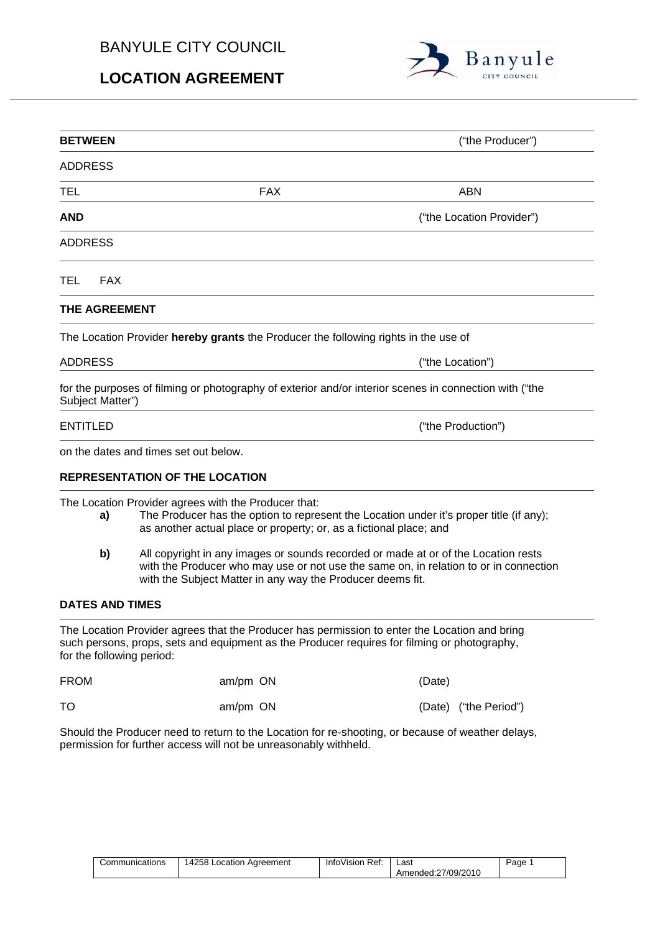## BANYULE CITY COUNCIL

# **LOCATION AGREEMENT**



| <b>BETWEEN</b>            |                                                                                                                                                                                                                                           | ("the Producer")          |  |  |  |
|---------------------------|-------------------------------------------------------------------------------------------------------------------------------------------------------------------------------------------------------------------------------------------|---------------------------|--|--|--|
| <b>ADDRESS</b>            |                                                                                                                                                                                                                                           |                           |  |  |  |
| TEL                       | <b>FAX</b>                                                                                                                                                                                                                                | ABN                       |  |  |  |
| AND                       |                                                                                                                                                                                                                                           | ("the Location Provider") |  |  |  |
| <b>ADDRESS</b>            |                                                                                                                                                                                                                                           |                           |  |  |  |
| TEL<br><b>FAX</b>         |                                                                                                                                                                                                                                           |                           |  |  |  |
| THE AGREEMENT             |                                                                                                                                                                                                                                           |                           |  |  |  |
|                           | The Location Provider hereby grants the Producer the following rights in the use of                                                                                                                                                       |                           |  |  |  |
| <b>ADDRESS</b>            | ("the Location")                                                                                                                                                                                                                          |                           |  |  |  |
| Subject Matter")          | for the purposes of filming or photography of exterior and/or interior scenes in connection with ("the                                                                                                                                    |                           |  |  |  |
| <b>ENTITLED</b>           | ("the Production")                                                                                                                                                                                                                        |                           |  |  |  |
|                           | on the dates and times set out below.                                                                                                                                                                                                     |                           |  |  |  |
|                           | <b>REPRESENTATION OF THE LOCATION</b>                                                                                                                                                                                                     |                           |  |  |  |
| a)                        | The Location Provider agrees with the Producer that:<br>The Producer has the option to represent the Location under it's proper title (if any);<br>as another actual place or property; or, as a fictional place; and                     |                           |  |  |  |
| b)                        | All copyright in any images or sounds recorded or made at or of the Location rests<br>with the Producer who may use or not use the same on, in relation to or in connection<br>with the Subject Matter in any way the Producer deems fit. |                           |  |  |  |
| <b>DATES AND TIMES</b>    |                                                                                                                                                                                                                                           |                           |  |  |  |
| for the following period: | The Location Provider agrees that the Producer has permission to enter the Location and bring<br>such persons, props, sets and equipment as the Producer requires for filming or photography,                                             |                           |  |  |  |
| <b>FROM</b>               | am/pm ON                                                                                                                                                                                                                                  | (Date)                    |  |  |  |

Should the Producer need to return to the Location for re-shooting, or because of weather delays, permission for further access will not be unreasonably withheld.

TO am/pm ON am/pm CN (Date) ("the Period")

| Communications | 14258 Location Agreement | InfoVision Ref: | Last               | Page |
|----------------|--------------------------|-----------------|--------------------|------|
|                |                          |                 | Amended:27/09/2010 |      |